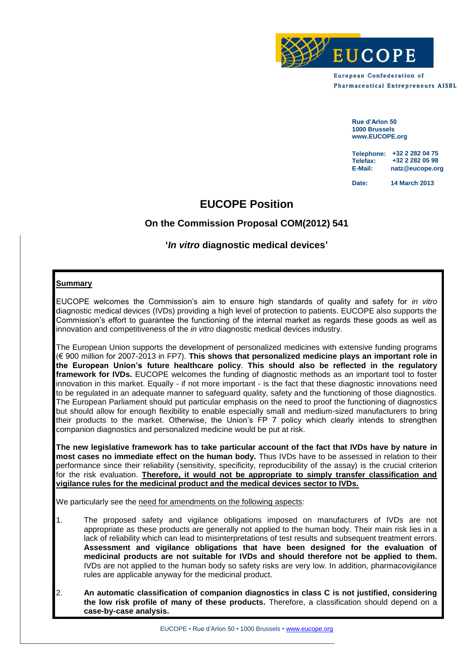

**European Confederation of Pharmaceutical Entrepreneurs AISBL** 

> **Rue d'Arlon 50 1000 Brussels www.EUCOPE.org**

**Telephone: +32 2 282 04 75 Telefax: E-Mail: natz@eucope.org +32 2 282 05 98**

Date: **Date: 14 March 2013**

# **EUCOPE Position**

# **On the Commission Proposal COM(2012) 541**

# **'***In vitro* **diagnostic medical devices'**

## **Summary**

EUCOPE welcomes the Commission's aim to ensure high standards of quality and safety for *in vitro* diagnostic medical devices (IVDs) providing a high level of protection to patients. EUCOPE also supports the Commission's effort to guarantee the functioning of the internal market as regards these goods as well as innovation and competitiveness of the *in vitro* diagnostic medical devices industry.

The European Union supports the development of personalized medicines with extensive funding programs (€ 900 million for 2007-2013 in FP7). **This shows that personalized medicine plays an important role in the European Union's future healthcare policy**. **This should also be reflected in the regulatory framework for IVDs.** EUCOPE welcomes the funding of diagnostic methods as an important tool to foster innovation in this market. Equally - if not more important - is the fact that these diagnostic innovations need to be regulated in an adequate manner to safeguard quality, safety and the functioning of those diagnostics. The European Parliament should put particular emphasis on the need to proof the functioning of diagnostics but should allow for enough flexibility to enable especially small and medium-sized manufacturers to bring their products to the market. Otherwise, the Union's FP 7 policy which clearly intends to strengthen companion diagnostics and personalized medicine would be put at risk.

**The new legislative framework has to take particular account of the fact that IVDs have by nature in most cases no immediate effect on the human body.** Thus IVDs have to be assessed in relation to their performance since their reliability (sensitivity, specificity, reproducibility of the assay) is the crucial criterion for the risk evaluation. **Therefore, it would not be appropriate to simply transfer classification and vigilance rules for the medicinal product and the medical devices sector to IVDs.**

We particularly see the need for amendments on the following aspects:

- 1. The proposed safety and vigilance obligations imposed on manufacturers of IVDs are not appropriate as these products are generally not applied to the human body. Their main risk lies in a lack of reliability which can lead to misinterpretations of test results and subsequent treatment errors. **Assessment and vigilance obligations that have been designed for the evaluation of medicinal products are not suitable for IVDs and should therefore not be applied to them.** IVDs are not applied to the human body so safety risks are very low. In addition, pharmacovigilance rules are applicable anyway for the medicinal product.
- 2. **An automatic classification of companion diagnostics in class C is not justified, considering the low risk profile of many of these products.** Therefore, a classification should depend on a **case-by-case analysis.**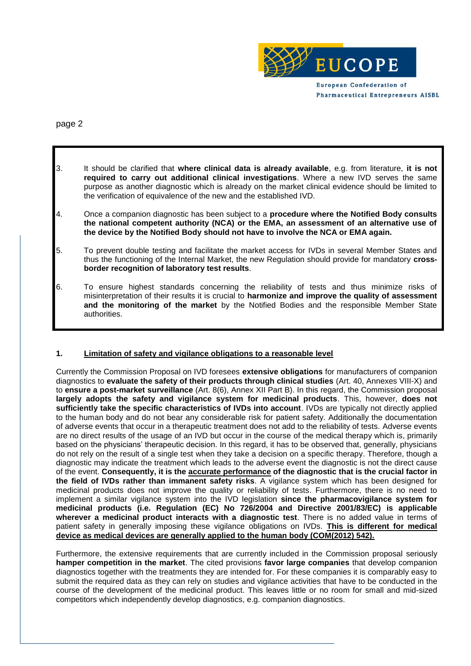

**Pharmaceutical Entrepreneurs AISBL** 

page 2

- 3. It should be clarified that **where clinical data is already available**, e.g. from literature, **it is not required to carry out additional clinical investigations**. Where a new IVD serves the same purpose as another diagnostic which is already on the market clinical evidence should be limited to the verification of equivalence of the new and the established IVD.
- 4. Once a companion diagnostic has been subject to a **procedure where the Notified Body consults the national competent authority (NCA) or the EMA, an assessment of an alternative use of the device by the Notified Body should not have to involve the NCA or EMA again.**
- 5. To prevent double testing and facilitate the market access for IVDs in several Member States and thus the functioning of the Internal Market, the new Regulation should provide for mandatory **crossborder recognition of laboratory test results**.
- 6. To ensure highest standards concerning the reliability of tests and thus minimize risks of misinterpretation of their results it is crucial to **harmonize and improve the quality of assessment and the monitoring of the market** by the Notified Bodies and the responsible Member State authorities.

### **1. Limitation of safety and vigilance obligations to a reasonable level**

Currently the Commission Proposal on IVD foresees **extensive obligations** for manufacturers of companion diagnostics to **evaluate the safety of their products through clinical studies** (Art. 40, Annexes VIII-X) and to **ensure a post-market surveillance** (Art. 8(6), Annex XII Part B). In this regard, the Commission proposal **largely adopts the safety and vigilance system for medicinal products**. This, however, **does not sufficiently take the specific characteristics of IVDs into account**. IVDs are typically not directly applied to the human body and do not bear any considerable risk for patient safety. Additionally the documentation of adverse events that occur in a therapeutic treatment does not add to the reliability of tests. Adverse events are no direct results of the usage of an IVD but occur in the course of the medical therapy which is, primarily based on the physicians' therapeutic decision. In this regard, it has to be observed that, generally, physicians do not rely on the result of a single test when they take a decision on a specific therapy. Therefore, though a diagnostic may indicate the treatment which leads to the adverse event the diagnostic is not the direct cause of the event. **Consequently, it is the accurate performance of the diagnostic that is the crucial factor in the field of IVDs rather than immanent safety risks**. A vigilance system which has been designed for medicinal products does not improve the quality or reliability of tests. Furthermore, there is no need to implement a similar vigilance system into the IVD legislation **since the pharmacovigilance system for medicinal products (i.e. Regulation (EC) No 726/2004 and Directive 2001/83/EC) is applicable wherever a medicinal product interacts with a diagnostic test**. There is no added value in terms of patient safety in generally imposing these vigilance obligations on IVDs. **This is different for medical device as medical devices are generally applied to the human body (COM(2012) 542).**

Furthermore, the extensive requirements that are currently included in the Commission proposal seriously **hamper competition in the market**. The cited provisions **favor large companies** that develop companion diagnostics together with the treatments they are intended for. For these companies it is comparably easy to submit the required data as they can rely on studies and vigilance activities that have to be conducted in the course of the development of the medicinal product. This leaves little or no room for small and mid-sized competitors which independently develop diagnostics, e.g. companion diagnostics.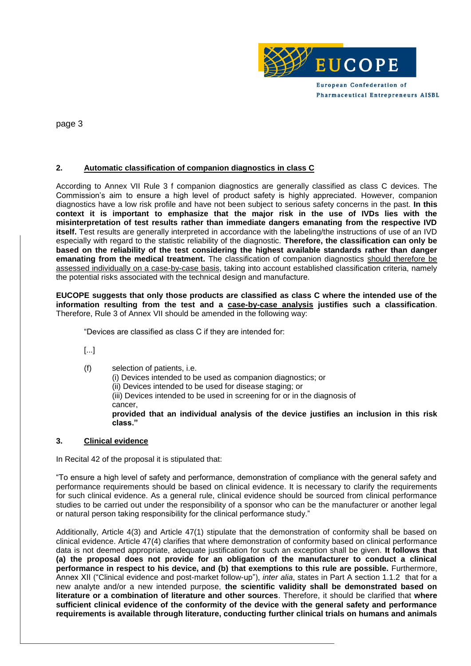

**Pharmaceutical Entrepreneurs AISBL** 

page 3

### **2. Automatic classification of companion diagnostics in class C**

According to Annex VII Rule 3 f companion diagnostics are generally classified as class C devices. The Commission's aim to ensure a high level of product safety is highly appreciated. However, companion diagnostics have a low risk profile and have not been subject to serious safety concerns in the past. **In this context it is important to emphasize that the major risk in the use of IVDs lies with the misinterpretation of test results rather than immediate dangers emanating from the respective IVD itself.** Test results are generally interpreted in accordance with the labeling/the instructions of use of an IVD especially with regard to the statistic reliability of the diagnostic. **Therefore, the classification can only be based on the reliability of the test considering the highest available standards rather than danger emanating from the medical treatment.** The classification of companion diagnostics should therefore be assessed individually on a case-by-case basis, taking into account established classification criteria, namely the potential risks associated with the technical design and manufacture.

**EUCOPE suggests that only those products are classified as class C where the intended use of the information resulting from the test and a case-by-case analysis justifies such a classification**. Therefore, Rule 3 of Annex VII should be amended in the following way:

"Devices are classified as class C if they are intended for:

[...]

(f) selection of patients, i.e.

(i) Devices intended to be used as companion diagnostics; or

(ii) Devices intended to be used for disease staging; or

(iii) Devices intended to be used in screening for or in the diagnosis of cancer,

**provided that an individual analysis of the device justifies an inclusion in this risk class."**

### **3. Clinical evidence**

In Recital 42 of the proposal it is stipulated that:

"To ensure a high level of safety and performance, demonstration of compliance with the general safety and performance requirements should be based on clinical evidence. It is necessary to clarify the requirements for such clinical evidence. As a general rule, clinical evidence should be sourced from clinical performance studies to be carried out under the responsibility of a sponsor who can be the manufacturer or another legal or natural person taking responsibility for the clinical performance study."

Additionally, Article 4(3) and Article 47(1) stipulate that the demonstration of conformity shall be based on clinical evidence. Article 47(4) clarifies that where demonstration of conformity based on clinical performance data is not deemed appropriate, adequate justification for such an exception shall be given. **It follows that (a) the proposal does not provide for an obligation of the manufacturer to conduct a clinical performance in respect to his device, and (b) that exemptions to this rule are possible.** Furthermore, Annex XII ("Clinical evidence and post-market follow-up"), *inter alia*, states in Part A section 1.1.2 that for a new analyte and/or a new intended purpose, **the scientific validity shall be demonstrated based on literature or a combination of literature and other sources**. Therefore, it should be clarified that **where sufficient clinical evidence of the conformity of the device with the general safety and performance requirements is available through literature, conducting further clinical trials on humans and animals**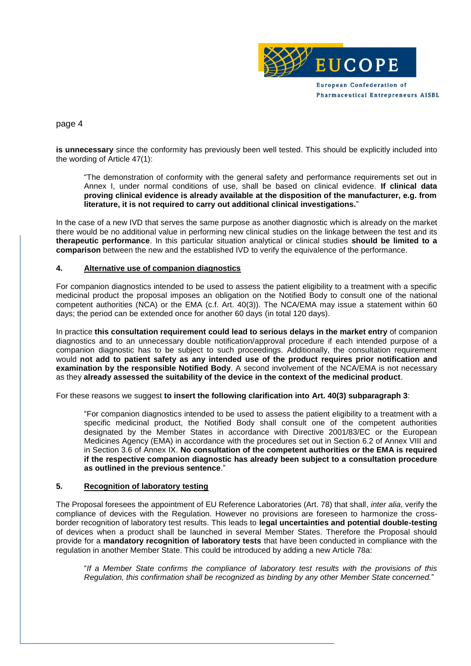

page 4

**is unnecessary** since the conformity has previously been well tested. This should be explicitly included into the wording of Article 47(1):

"The demonstration of conformity with the general safety and performance requirements set out in Annex I, under normal conditions of use, shall be based on clinical evidence. **If clinical data proving clinical evidence is already available at the disposition of the manufacturer, e.g. from literature, it is not required to carry out additional clinical investigations.**"

In the case of a new IVD that serves the same purpose as another diagnostic which is already on the market there would be no additional value in performing new clinical studies on the linkage between the test and its **therapeutic performance**. In this particular situation analytical or clinical studies **should be limited to a comparison** between the new and the established IVD to verify the equivalence of the performance.

#### **4. Alternative use of companion diagnostics**

For companion diagnostics intended to be used to assess the patient eligibility to a treatment with a specific medicinal product the proposal imposes an obligation on the Notified Body to consult one of the national competent authorities (NCA) or the EMA (c.f. Art. 40(3)). The NCA/EMA may issue a statement within 60 days; the period can be extended once for another 60 days (in total 120 days).

In practice **this consultation requirement could lead to serious delays in the market entry** of companion diagnostics and to an unnecessary double notification/approval procedure if each intended purpose of a companion diagnostic has to be subject to such proceedings. Additionally, the consultation requirement would **not add to patient safety as any intended use of the product requires prior notification and examination by the responsible Notified Body**. A second involvement of the NCA/EMA is not necessary as they **already assessed the suitability of the device in the context of the medicinal product**.

For these reasons we suggest **to insert the following clarification into Art. 40(3) subparagraph 3**:

"For companion diagnostics intended to be used to assess the patient eligibility to a treatment with a specific medicinal product, the Notified Body shall consult one of the competent authorities designated by the Member States in accordance with Directive 2001/83/EC or the European Medicines Agency (EMA) in accordance with the procedures set out in Section 6.2 of Annex VIII and in Section 3.6 of Annex IX. **No consultation of the competent authorities or the EMA is required if the respective companion diagnostic has already been subject to a consultation procedure as outlined in the previous sentence**."

#### **5. Recognition of laboratory testing**

The Proposal foresees the appointment of EU Reference Laboratories (Art. 78) that shall, *inter alia*, verify the compliance of devices with the Regulation. However no provisions are foreseen to harmonize the crossborder recognition of laboratory test results. This leads to **legal uncertainties and potential double-testing** of devices when a product shall be launched in several Member States. Therefore the Proposal should provide for a **mandatory recognition of laboratory tests** that have been conducted in compliance with the regulation in another Member State. This could be introduced by adding a new Article 78a:

"*If a Member State confirms the compliance of laboratory test results with the provisions of this Regulation, this confirmation shall be recognized as binding by any other Member State concerned.*"